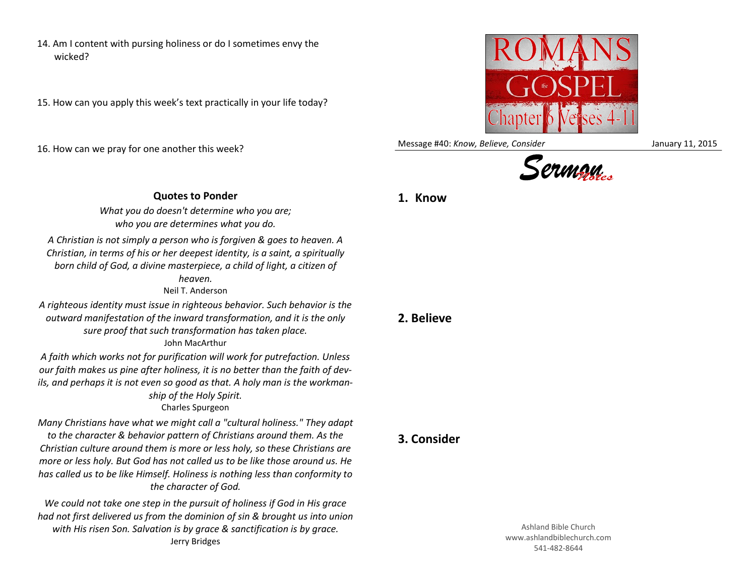- 14. Am I content with pursing holiness or do I sometimes envy the wicked?
- 15. How can you apply this week's text practically in your life today?

16. How can we pray for one another this week?



Message #40: *Know, Believe, Consider* January 11, 2015



## **Quotes to Ponder**

**1. Know**

*What you do doesn't determine who you are; who you are determines what you do.*

*A Christian is not simply a person who is forgiven & goes to heaven. A Christian, in terms of his or her deepest identity, is a saint, a spiritually born child of God, a divine masterpiece, a child of light, a citizen of heaven.*

Neil T. Anderson

*A righteous identity must issue in righteous behavior. Such behavior is the outward manifestation of the inward transformation, and it is the only sure proof that such transformation has taken place.* John MacArthur

*A faith which works not for purification will work for putrefaction. Unless our faith makes us pine after holiness, it is no better than the faith of devils, and perhaps it is not even so good as that. A holy man is the workmanship of the Holy Spirit.* Charles Spurgeon

*Many Christians have what we might call a "cultural holiness." They adapt to the character & behavior pattern of Christians around them. As the Christian culture around them is more or less holy, so these Christians are more or less holy. But God has not called us to be like those around us. He has called us to be like Himself. Holiness is nothing less than conformity to the character of God.*

*We could not take one step in the pursuit of holiness if God in His grace had not first delivered us from the dominion of sin & brought us into union with His risen Son. Salvation is by grace & sanctification is by grace.* Jerry Bridges

## **2. Believe**

**3. Consider**

Ashland Bible Church www.ashlandbiblechurch.com 541-482-8644